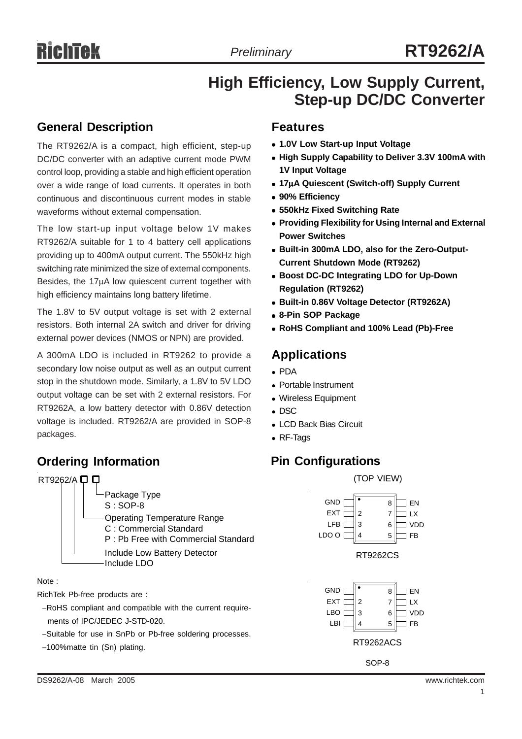# **High Efficiency, Low Supply Current, Step-up DC/DC Converter**

## **General Description**

The RT9262/A is a compact, high efficient, step-up DC/DC converter with an adaptive current mode PWM control loop, providing a stable and high efficient operation over a wide range of load currents. It operates in both continuous and discontinuous current modes in stable waveforms without external compensation.

The low start-up input voltage below 1V makes RT9262/A suitable for 1 to 4 battery cell applications providing up to 400mA output current. The 550kHz high switching rate minimized the size of external components. Besides, the 17µA low quiescent current together with high efficiency maintains long battery lifetime.

The 1.8V to 5V output voltage is set with 2 external resistors. Both internal 2A switch and driver for driving external power devices (NMOS or NPN) are provided.

A 300mA LDO is included in RT9262 to provide a secondary low noise output as well as an output current stop in the shutdown mode. Similarly, a 1.8V to 5V LDO output voltage can be set with 2 external resistors. For RT9262A, a low battery detector with 0.86V detection voltage is included. RT9262/A are provided in SOP-8 packages.

## **Ordering Information**



Note :

RichTek Pb-free products are :

- −RoHS compliant and compatible with the current require ments of IPC/JEDEC J-STD-020.
- −Suitable for use in SnPb or Pb-free soldering processes.
- −100%matte tin (Sn) plating.

### **Features**

- <sup>z</sup> **1.0V Low Start-up Input Voltage**
- **High Supply Capability to Deliver 3.3V 100mA with 1V Input Voltage**
- <sup>z</sup> **17**µ**A Quiescent (Switch-off) Supply Current**
- <sup>z</sup> **90% Efficiency**
- **550kHz Fixed Switching Rate**
- **Providing Flexibility for Using Internal and External Power Switches**
- **Built-in 300mA LDO, also for the Zero-Output-Current Shutdown Mode (RT9262)**
- **Boost DC-DC Integrating LDO for Up-Down Regulation (RT9262)**
- <sup>z</sup> **Built-in 0.86V Voltage Detector (RT9262A)**
- <sup>z</sup> **8-Pin SOP Package**
- <sup>z</sup> **RoHS Compliant and 100% Lead (Pb)-Free**

### **Applications**

- $\bullet$  PDA
- Portable Instrument
- Wireless Equipment
- $\bullet$  DSC
- LCD Back Bias Circuit
- RF-Tags

### **Pin Configurations**

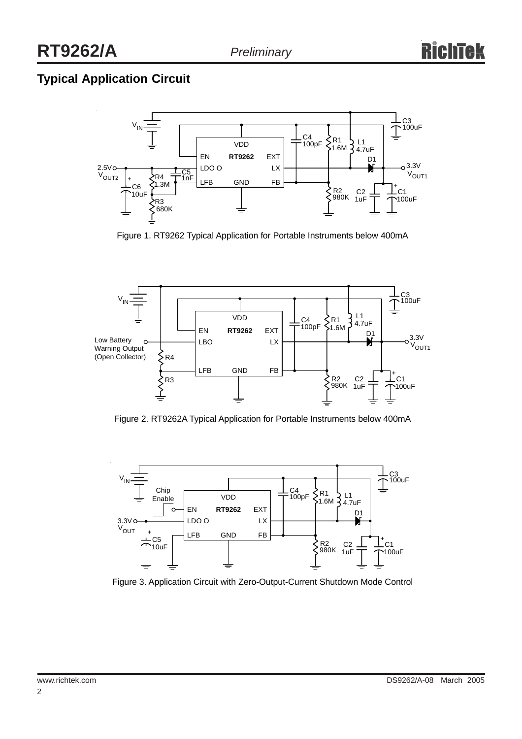# **Typical Application Circuit**



Figure 1. RT9262 Typical Application for Portable Instruments below 400mA



Figure 2. RT9262A Typical Application for Portable Instruments below 400mA



Figure 3. Application Circuit with Zero-Output-Current Shutdown Mode Control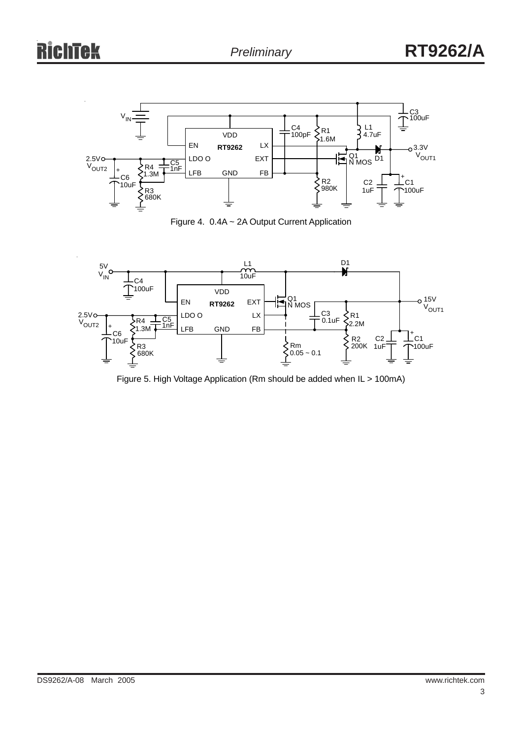

Figure 4. 0.4A ~ 2A Output Current Application



Figure 5. High Voltage Application (Rm should be added when IL > 100mA)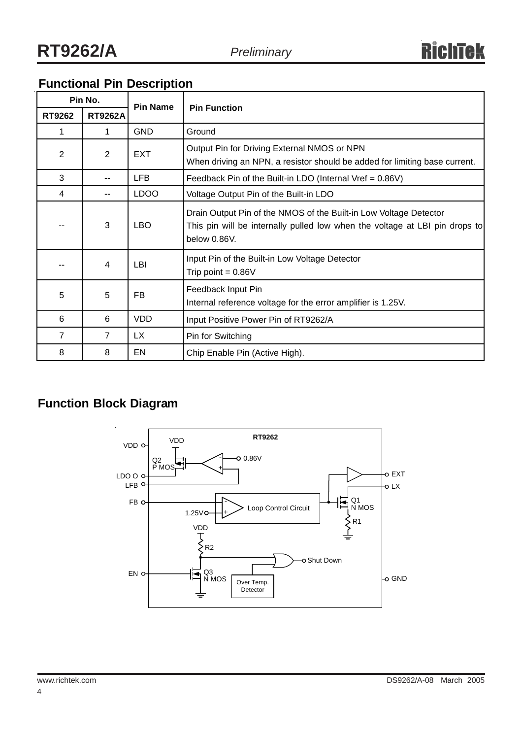| Pin No.        |                | <b>Pin Name</b> | <b>Pin Function</b>                                                                                                                                              |  |  |  |  |
|----------------|----------------|-----------------|------------------------------------------------------------------------------------------------------------------------------------------------------------------|--|--|--|--|
| <b>RT9262</b>  | <b>RT9262A</b> |                 |                                                                                                                                                                  |  |  |  |  |
| 1              | 1.             | <b>GND</b>      | Ground                                                                                                                                                           |  |  |  |  |
| $\overline{2}$ | 2              | <b>EXT</b>      | Output Pin for Driving External NMOS or NPN<br>When driving an NPN, a resistor should be added for limiting base current.                                        |  |  |  |  |
| 3              |                | <b>LFB</b>      | Feedback Pin of the Built-in LDO (Internal Vref = $0.86V$ )                                                                                                      |  |  |  |  |
| 4              |                | <b>LDOO</b>     | Voltage Output Pin of the Built-in LDO                                                                                                                           |  |  |  |  |
|                | 3              | <b>LBO</b>      | Drain Output Pin of the NMOS of the Built-in Low Voltage Detector<br>This pin will be internally pulled low when the voltage at LBI pin drops to<br>below 0.86V. |  |  |  |  |
|                | 4              | LBI             | Input Pin of the Built-in Low Voltage Detector<br>Trip point = $0.86V$                                                                                           |  |  |  |  |
| 5              | 5              | FB              | Feedback Input Pin<br>Internal reference voltage for the error amplifier is 1.25V.                                                                               |  |  |  |  |
| 6              | 6              | <b>VDD</b>      | Input Positive Power Pin of RT9262/A                                                                                                                             |  |  |  |  |
| $\overline{7}$ | $\overline{7}$ | LX.             | Pin for Switching                                                                                                                                                |  |  |  |  |
| 8              | 8              | EN              | Chip Enable Pin (Active High).                                                                                                                                   |  |  |  |  |

## **Functional Pin Description**

# **Function Block Diagram**

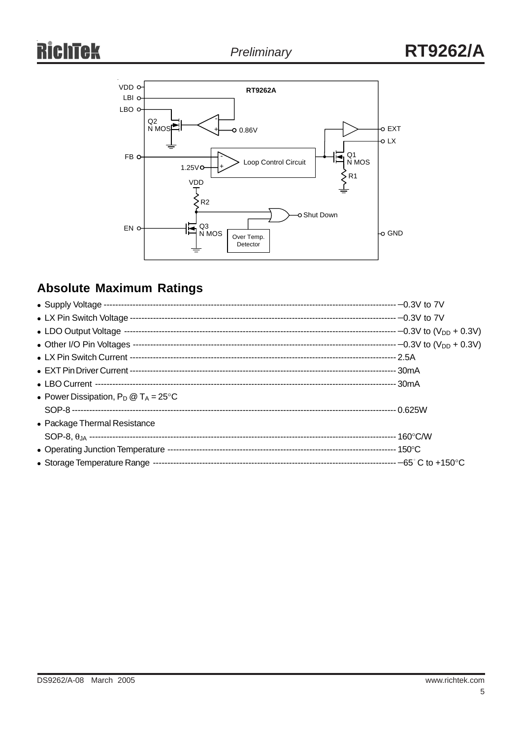

# **Absolute Maximum Ratings**

| • Power Dissipation, $P_D @ T_A = 25^{\circ}C$ |  |
|------------------------------------------------|--|
|                                                |  |
| • Package Thermal Resistance                   |  |
|                                                |  |
|                                                |  |
|                                                |  |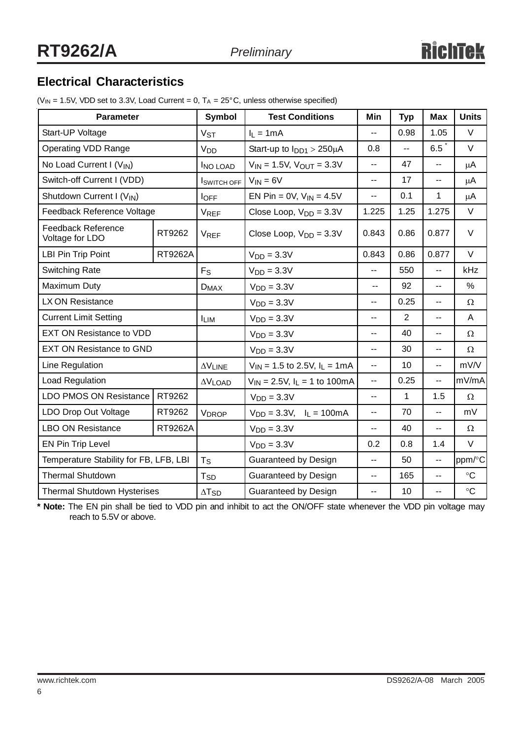## **Electrical Characteristics**

( $V_{IN}$  = 1.5V, VDD set to 3.3V, Load Current = 0,  $T_A$  = 25°C, unless otherwise specified)

| <b>Parameter</b>                             |                        | <b>Symbol</b>       | <b>Test Conditions</b>                | Min                      | <b>Typ</b>     | <b>Max</b>               | <b>Units</b>      |
|----------------------------------------------|------------------------|---------------------|---------------------------------------|--------------------------|----------------|--------------------------|-------------------|
| Start-UP Voltage                             |                        | V <sub>ST</sub>     | $I_1 = 1mA$                           | $-$                      | 0.98           | 1.05                     | $\vee$            |
| <b>Operating VDD Range</b>                   |                        | V <sub>DD</sub>     | Start-up to $I_{DD1}$ > 250 $\mu$ A   | 0.8                      | ÷÷             | 6.5                      | $\vee$            |
| No Load Current I (V <sub>IN</sub> )         |                        | <b>INO LOAD</b>     | $V_{IN}$ = 1.5V, $V_{OUT}$ = 3.3V     | $-$                      | 47             | $\overline{\phantom{a}}$ | μA                |
| Switch-off Current I (VDD)                   |                        | <b>I</b> SWITCH OFF | $V_{IN} = 6V$                         | $\overline{a}$           | 17             | $\overline{\phantom{a}}$ | $\mu$ A           |
| Shutdown Current I (V <sub>IN</sub> )        |                        | $I_{\text{OFF}}$    | EN Pin = $0V$ , $V_{IN} = 4.5V$       | $-$                      | 0.1            | 1                        | μA                |
| Feedback Reference Voltage                   |                        | <b>VREF</b>         | Close Loop, $V_{DD} = 3.3V$           | 1.225                    | 1.25           | 1.275                    | $\vee$            |
| <b>Feedback Reference</b><br>Voltage for LDO | RT9262                 | <b>VREF</b>         | Close Loop, $V_{DD} = 3.3V$           | 0.843                    | 0.86           | 0.877                    | $\vee$            |
| <b>LBI Pin Trip Point</b>                    | RT9262A                |                     | $VDD = 3.3V$                          | 0.843                    | 0.86           | 0.877                    | $\vee$            |
| <b>Switching Rate</b>                        |                        | $F_S$               | $VDD = 3.3V$                          | $-$                      | 550            | $\overline{\phantom{a}}$ | kHz               |
| Maximum Duty                                 |                        | $D_{MAX}$           | $VDD = 3.3V$                          | $\overline{\phantom{a}}$ | 92             | $\overline{\phantom{a}}$ | %                 |
| LX ON Resistance                             |                        |                     | $VDD = 3.3V$                          | --                       | 0.25           | $\overline{\phantom{a}}$ | Ω                 |
| <b>Current Limit Setting</b>                 |                        | <b>LIM</b>          | $VDD = 3.3V$                          | --                       | $\overline{2}$ | --                       | A                 |
| <b>EXT ON Resistance to VDD</b>              |                        |                     | $VDD = 3.3V$                          | --                       | 40             | --                       | Ω                 |
| <b>EXT ON Resistance to GND</b>              |                        |                     | $VDD = 3.3V$                          | $\overline{\phantom{a}}$ | 30             | $\overline{\phantom{a}}$ | $\Omega$          |
| Line Regulation                              |                        | $\Delta V$ LINE     | $V_{IN}$ = 1.5 to 2.5V, $I_L$ = 1mA   | $\overline{\phantom{a}}$ | 10             | $\mathbf{u}$             | mV/V              |
| Load Regulation                              |                        | $\Delta V$ LOAD     | $V_{IN} = 2.5V$ , $I_L = 1$ to 100 mA | $\overline{\phantom{a}}$ | 0.25           | $\mathbf{u}$             | mV/mA             |
| <b>LDO PMOS ON Resistance</b>                | RT9262<br>$VDD = 3.3V$ |                     | $\overline{\phantom{a}}$              | 1                        | 1.5            | $\Omega$                 |                   |
| LDO Drop Out Voltage                         | RT9262                 | <b>VDROP</b>        | $V_{DD} = 3.3V, I_L = 100mA$          | $\overline{\phantom{a}}$ | 70             | $\overline{\phantom{a}}$ | mV                |
| <b>LBO ON Resistance</b>                     | RT9262A                |                     | $VDD = 3.3V$                          | --                       | 40             | $\overline{\phantom{a}}$ | $\Omega$          |
| EN Pin Trip Level                            |                        |                     | $VDD = 3.3V$                          | 0.2                      | 0.8            | 1.4                      | V                 |
| Temperature Stability for FB, LFB, LBI       |                        | $T_S$               | Guaranteed by Design                  | $\overline{\phantom{a}}$ | 50             | $\overline{\phantom{a}}$ | ppm/°C            |
| <b>Thermal Shutdown</b>                      |                        | T <sub>SD</sub>     | <b>Guaranteed by Design</b>           | $\overline{a}$           | 165            | $\overline{a}$           | $\circ$ C         |
| Thermal Shutdown Hysterises                  |                        | $\Delta T_{SD}$     | Guaranteed by Design                  | $\overline{\phantom{a}}$ | 10             | $\overline{\phantom{a}}$ | $^{\circ}{\rm C}$ |

**\* Note:** The EN pin shall be tied to VDD pin and inhibit to act the ON/OFF state whenever the VDD pin voltage may reach to 5.5V or above.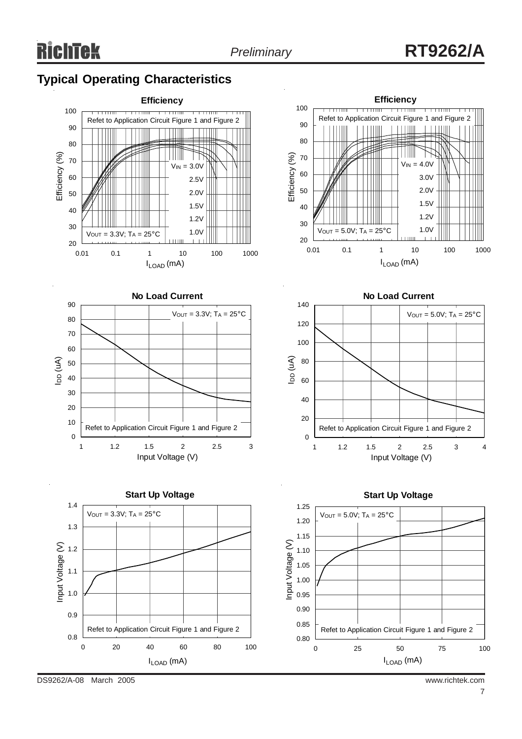# **Typical Operating Characteristics**











DS9262/A-08 March 2005 www.richtek.com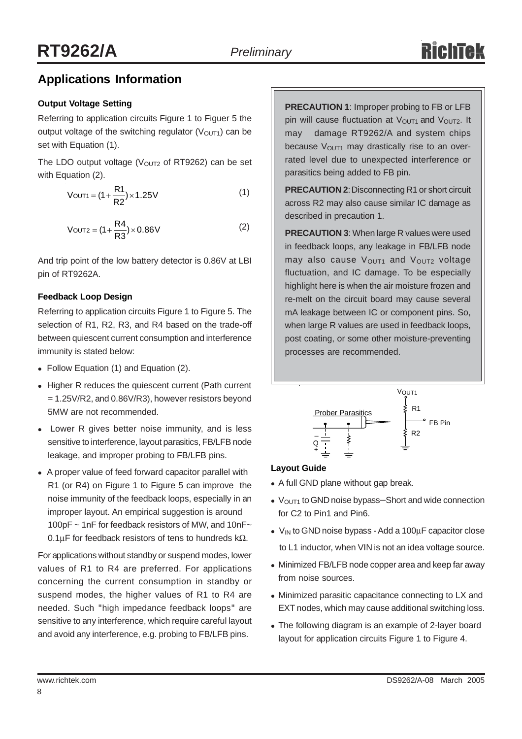## **Applications Information**

### **Output Voltage Setting**

Referring to application circuits Figure 1 to Figuer 5 the output voltage of the switching regulator  $(V<sub>OUT1</sub>)$  can be set with Equation (1).

The LDO output voltage ( $V<sub>OUT2</sub>$  of RT9262) can be set with Equation (2).

$$
V_{OUT1} = (1 + \frac{R1}{R2}) \times 1.25V
$$
 (1)

$$
V_{\text{OUT2}} = (1 + \frac{R4}{R3}) \times 0.86 \text{V}
$$
 (2)

And trip point of the low battery detector is 0.86V at LBI pin of RT9262A.

#### **Feedback Loop Design**

Referring to application circuits Figure 1 to Figure 5. The selection of R1, R2, R3, and R4 based on the trade-off between quiescent current consumption and interference immunity is stated below:

- Follow Equation (1) and Equation (2).
- Higher R reduces the quiescent current (Path current = 1.25V/R2, and 0.86V/R3), however resistors beyond 5MW are not recommended.
- Lower R gives better noise immunity, and is less sensitive to interference, layout parasitics, FB/LFB node leakage, and improper probing to FB/LFB pins.
- A proper value of feed forward capacitor parallel with R1 (or R4) on Figure 1 to Figure 5 can improve the noise immunity of the feedback loops, especially in an improper layout. An empirical suggestion is around 100pF ~ 1nF for feedback resistors of MW, and 10nF~ 0.1µF for feedback resistors of tens to hundreds kΩ.

For applications without standby or suspend modes, lower values of R1 to R4 are preferred. For applications concerning the current consumption in standby or suspend modes, the higher values of R1 to R4 are needed. Such "high impedance feedback loops" are sensitive to any interference, which require careful layout and avoid any interference, e.g. probing to FB/LFB pins.

**PRECAUTION 1**: Improper probing to FB or LFB pin will cause fluctuation at  $V<sub>OUT1</sub>$  and  $V<sub>OUT2</sub>$ . It may damage RT9262/A and system chips because  $V<sub>OUT1</sub>$  may drastically rise to an overrated level due to unexpected interference or parasitics being added to FB pin.

**PRECAUTION 2**: Disconnecting R1 or short circuit across R2 may also cause similar IC damage as described in precaution 1.

**PRECAUTION 3**: When large R values were used in feedback loops, any leakage in FB/LFB node may also cause V<sub>OUT1</sub> and V<sub>OUT2</sub> voltage fluctuation, and IC damage. To be especially highlight here is when the air moisture frozen and re-melt on the circuit board may cause several mA leakage between IC or component pins. So, when large R values are used in feedback loops, post coating, or some other moisture-preventing processes are recommended.



### **Layout Guide**

- A full GND plane without gap break.
- V<sub>OUT1</sub> to GND noise bypass–Short and wide connection for C2 to Pin1 and Pin6.
- $V_{IN}$  to GND noise bypass Add a 100 $\mu$ F capacitor close to L1 inductor, when VIN is not an idea voltage source.
- Minimized FB/LFB node copper area and keep far away from noise sources.
- Minimized parasitic capacitance connecting to LX and EXT nodes, which may cause additional switching loss.
- The following diagram is an example of 2-layer board layout for application circuits Figure 1 to Figure 4.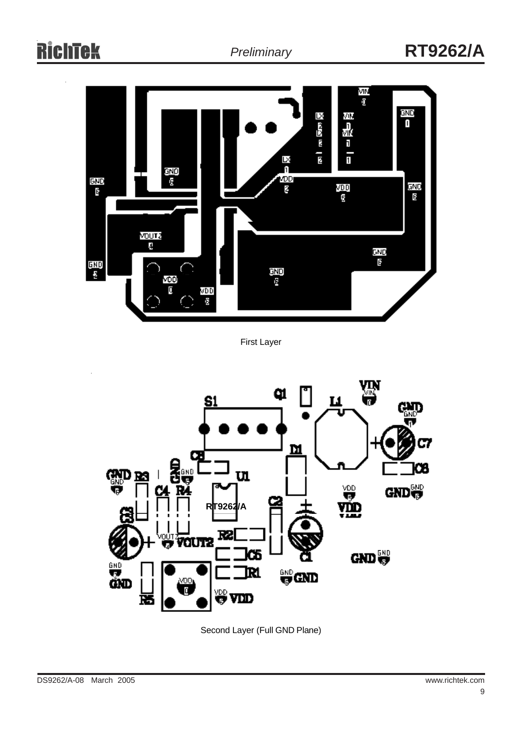

Second Layer (Full GND Plane)

First Layer